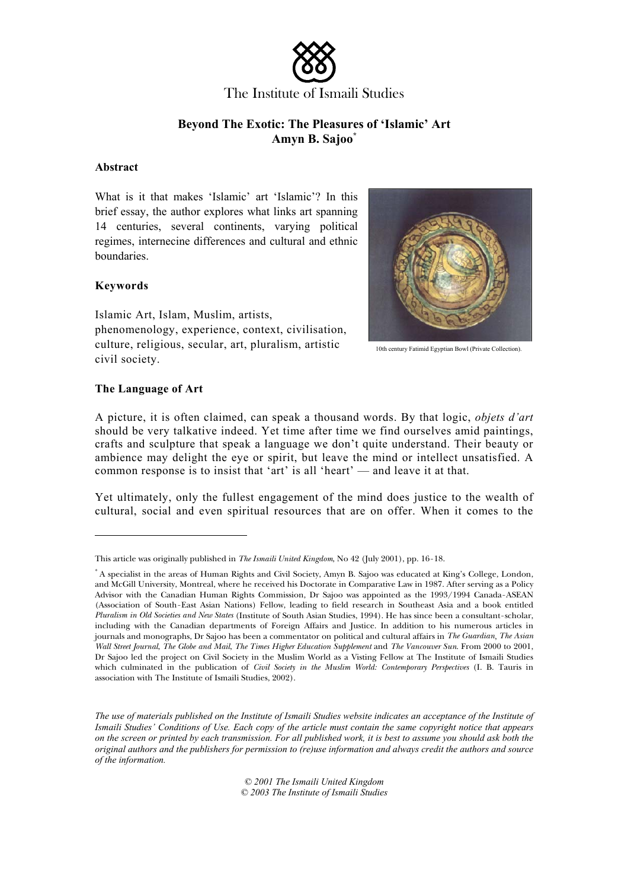

The Institute of Ismaili Studies

# **Beyond The Exotic: The Pleasures of 'Islamic' Art Amyn B. Sajoo\***

#### **Abstract**

What is it that makes 'Islamic' art 'Islamic'? In this brief essay, the author explores what links art spanning 14 centuries, several continents, varying political regimes, internecine differences and cultural and ethnic boundaries.

### **Keywords**

Islamic Art, Islam, Muslim, artists, phenomenology, experience, context, civilisation, culture, religious, secular, art, pluralism, artistic civil society.



10th century Fatimid Egyptian Bowl (Private Collection).

### **The Language of Art**

A picture, it is often claimed, can speak a thousand words. By that logic, *objets d'art*  should be very talkative indeed. Yet time after time we find ourselves amid paintings, crafts and sculpture that speak a language we don't quite understand. Their beauty or ambience may delight the eye or spirit, but leave the mind or intellect unsatisfied. A common response is to insist that 'art' is all 'heart' — and leave it at that.

Yet ultimately, only the fullest engagement of the mind does justice to the wealth of cultural, social and even spiritual resources that are on offer. When it comes to the

*The use of materials published on the Institute of Ismaili Studies website indicates an acceptance of the Institute of Ismaili Studies' Conditions of Use. Each copy of the article must contain the same copyright notice that appears on the screen or printed by each transmission. For all published work, it is best to assume you should ask both the original authors and the publishers for permission to (re)use information and always credit the authors and source of the information.* 

> *© 2001 The Ismaili United Kingdom © 2003 The Institute of Ismaili Studies*

This article was originally published in *The Ismaili United Kingdom*, No 42 (July 2001), pp. 16-18.

<sup>\*</sup> A specialist in the areas of Human Rights and Civil Society, Amyn B. Sajoo was educated at King's College, London, and McGill University, Montreal, where he received his Doctorate in Comparative Law in 1987. After serving as a Policy Advisor with the Canadian Human Rights Commission, Dr Sajoo was appointed as the 1993/1994 Canada-ASEAN (Association of South-East Asian Nations) Fellow, leading to field research in Southeast Asia and a book entitled *Pluralism in Old Societies and New States* (Institute of South Asian Studies, 1994). He has since been a consultant-scholar, including with the Canadian departments of Foreign Affairs and Justice. In addition to his numerous articles in journals and monographs, Dr Sajoo has been a commentator on political and cultural affairs in *The Guardian*, *The Asian Wall Street Journal*, *The Globe and Mail*, *The Times Higher Education Supplement* and *The Vancouver Sun*. From 2000 to 2001, Dr Sajoo led the project on Civil Society in the Muslim World as a Visting Fellow at The Institute of Ismaili Studies which culminated in the publication of *Civil Society in the Muslim World: Contemporary Perspectives (I. B. Tauris in* association with The Institute of Ismaili Studies, 2002).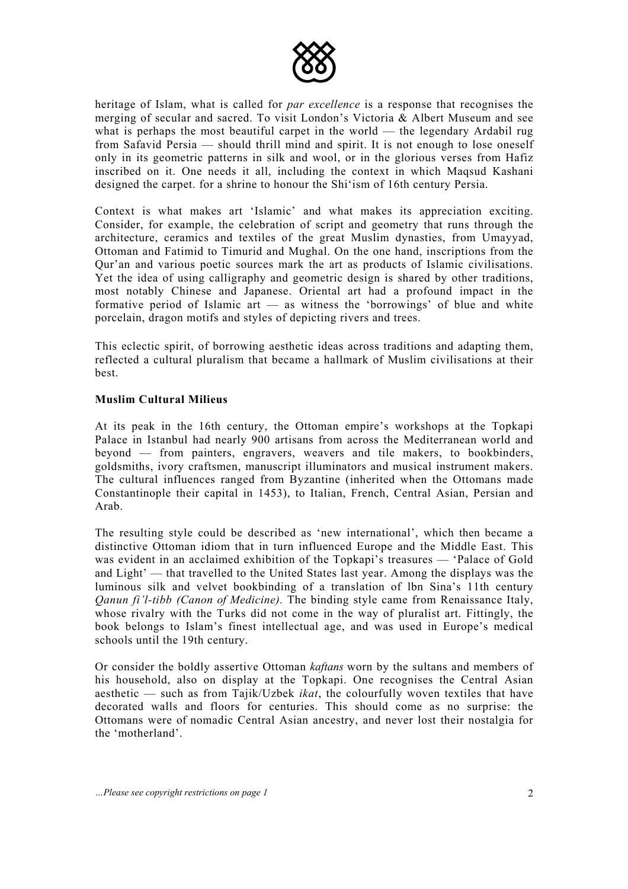

heritage of Islam, what is called for *par excellence* is a response that recognises the merging of secular and sacred. To visit London's Victoria  $\&$  Albert Museum and see what is perhaps the most beautiful carpet in the world — the legendary Ardabil rug from Safavid Persia — should thrill mind and spirit. It is not enough to lose oneself only in its geometric patterns in silk and wool, or in the glorious verses from Hafiz inscribed on it. One needs it all, including the context in which Maqsud Kashani designed the carpet. for a shrine to honour the Shi'ism of 16th century Persia.

Context is what makes art 'Islamic' and what makes its appreciation exciting. Consider, for example, the celebration of script and geometry that runs through the architecture, ceramics and textiles of the great Muslim dynasties, from Umayyad, Ottoman and Fatimid to Timurid and Mughal. On the one hand, inscriptions from the Qur'an and various poetic sources mark the art as products of Islamic civilisations. Yet the idea of using calligraphy and geometric design is shared by other traditions, most notably Chinese and Japanese. Oriental art had a profound impact in the formative period of Islamic art — as witness the 'borrowings' of blue and white porcelain, dragon motifs and styles of depicting rivers and trees.

This eclectic spirit, of borrowing aesthetic ideas across traditions and adapting them, reflected a cultural pluralism that became a hallmark of Muslim civilisations at their best.

## **Muslim Cultural Milieus**

At its peak in the 16th century, the Ottoman empire's workshops at the Topkapi Palace in Istanbul had nearly 900 artisans from across the Mediterranean world and beyond — from painters, engravers, weavers and tile makers, to bookbinders, goldsmiths, ivory craftsmen, manuscript illuminators and musical instrument makers. The cultural influences ranged from Byzantine (inherited when the Ottomans made Constantinople their capital in 1453), to Italian, French, Central Asian, Persian and Arab.

The resulting style could be described as 'new international', which then became a distinctive Ottoman idiom that in turn influenced Europe and the Middle East. This was evident in an acclaimed exhibition of the Topkapi's treasures — 'Palace of Gold and Light' — that travelled to the United States last year. Among the displays was the luminous silk and velvet bookbinding of a translation of lbn Sina's 11th century *Qanun fi'l-tibb (Canon of Medicine).* The binding style came from Renaissance Italy, whose rivalry with the Turks did not come in the way of pluralist art. Fittingly, the book belongs to Islam's finest intellectual age, and was used in Europe's medical schools until the 19th century.

Or consider the boldly assertive Ottoman *kaftans* worn by the sultans and members of his household, also on display at the Topkapi. One recognises the Central Asian aesthetic — such as from Tajik/Uzbek *ikat*, the colourfully woven textiles that have decorated walls and floors for centuries. This should come as no surprise: the Ottomans were of nomadic Central Asian ancestry, and never lost their nostalgia for the 'motherland'.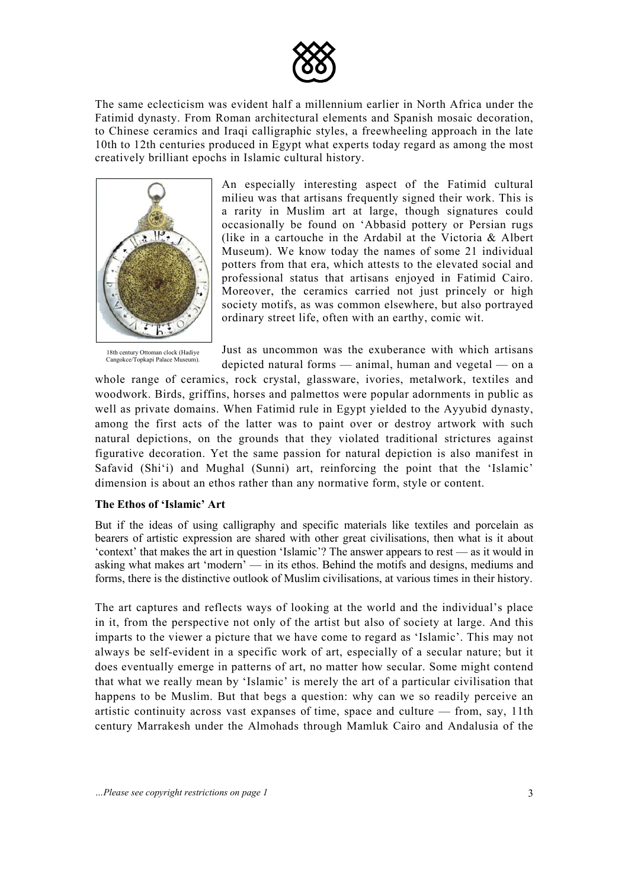

The same eclecticism was evident half a millennium earlier in North Africa under the Fatimid dynasty. From Roman architectural elements and Spanish mosaic decoration, to Chinese ceramics and Iraqi calligraphic styles, a freewheeling approach in the late 10th to 12th centuries produced in Egypt what experts today regard as among the most creatively brilliant epochs in Islamic cultural history.



An especially interesting aspect of the Fatimid cultural milieu was that artisans frequently signed their work. This is a rarity in Muslim art at large, though signatures could occasionally be found on 'Abbasid pottery or Persian rugs (like in a cartouche in the Ardabil at the Victoria & Albert Museum). We know today the names of some 21 individual potters from that era, which attests to the elevated social and professional status that artisans enjoyed in Fatimid Cairo. Moreover, the ceramics carried not just princely or high society motifs, as was common elsewhere, but also portrayed ordinary street life, often with an earthy, comic wit.

18th century Ottoman clock (Hadiye Just as uncommon was the exuberance with which artisans  $\frac{C_{\text{angokecTopkap Palace Musuum}}}{\text{ြand }\text{longestation}}$  depicted natural forms — animal, human and vegetal — on a

whole range of ceramics, rock crystal, glassware, ivories, metalwork, textiles and woodwork. Birds, griffins, horses and palmettos were popular adornments in public as well as private domains. When Fatimid rule in Egypt yielded to the Ayyubid dynasty, among the first acts of the latter was to paint over or destroy artwork with such natural depictions, on the grounds that they violated traditional strictures against figurative decoration. Yet the same passion for natural depiction is also manifest in Safavid (Shi'i) and Mughal (Sunni) art, reinforcing the point that the 'Islamic' dimension is about an ethos rather than any normative form, style or content.

### **The Ethos of 'Islamic' Art**

But if the ideas of using calligraphy and specific materials like textiles and porcelain as bearers of artistic expression are shared with other great civilisations, then what is it about 'context' that makes the art in question 'Islamic'? The answer appears to rest — as it would in asking what makes art 'modern' — in its ethos. Behind the motifs and designs, mediums and forms, there is the distinctive outlook of Muslim civilisations, at various times in their history.

The art captures and reflects ways of looking at the world and the individual's place in it, from the perspective not only of the artist but also of society at large. And this imparts to the viewer a picture that we have come to regard as 'Islamic'. This may not always be self-evident in a specific work of art, especially of a secular nature; but it does eventually emerge in patterns of art, no matter how secular. Some might contend that what we really mean by 'Islamic' is merely the art of a particular civilisation that happens to be Muslim. But that begs a question: why can we so readily perceive an artistic continuity across vast expanses of time, space and culture — from, say, 11th century Marrakesh under the Almohads through Mamluk Cairo and Andalusia of the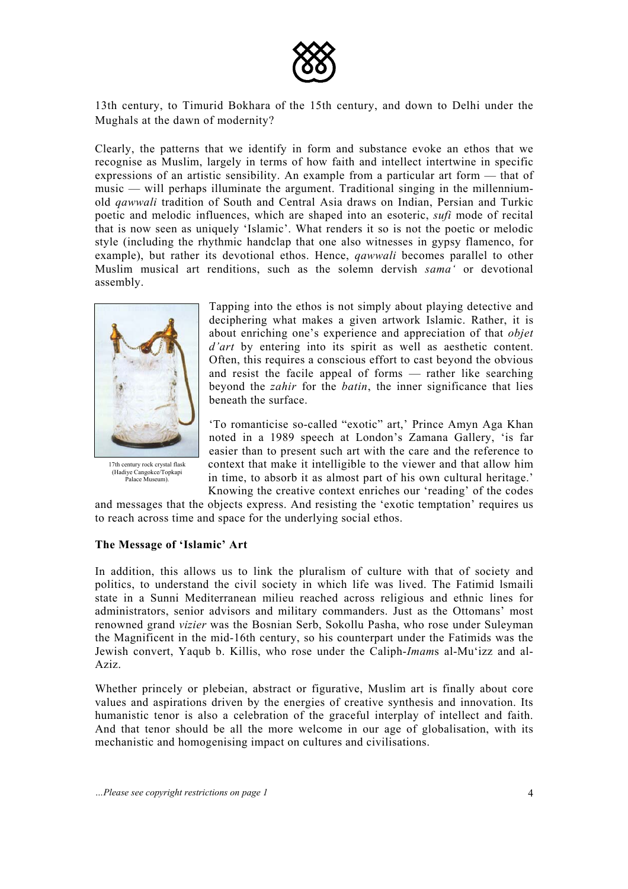

13th century, to Timurid Bokhara of the 15th century, and down to Delhi under the Mughals at the dawn of modernity?

Clearly, the patterns that we identify in form and substance evoke an ethos that we recognise as Muslim, largely in terms of how faith and intellect intertwine in specific expressions of an artistic sensibility. An example from a particular art form — that of music — will perhaps illuminate the argument. Traditional singing in the millenniumold *qawwali* tradition of South and Central Asia draws on Indian, Persian and Turkic poetic and melodic influences, which are shaped into an esoteric, *sufi* mode of recital that is now seen as uniquely 'Islamic'. What renders it so is not the poetic or melodic style (including the rhythmic handclap that one also witnesses in gypsy flamenco, for example), but rather its devotional ethos. Hence, *qawwali* becomes parallel to other Muslim musical art renditions, such as the solemn dervish *sama'* or devotional assembly.



(Hadiye Cangokce/Topkapi<br>Palace Museum).

Tapping into the ethos is not simply about playing detective and deciphering what makes a given artwork Islamic. Rather, it is about enriching one's experience and appreciation of that *objet d'art* by entering into its spirit as well as aesthetic content. Often, this requires a conscious effort to cast beyond the obvious and resist the facile appeal of forms — rather like searching beyond the *zahir* for the *batin*, the inner significance that lies beneath the surface.

'To romanticise so-called "exotic" art,' Prince Amyn Aga Khan noted in a 1989 speech at London's Zamana Gallery, 'is far easier than to present such art with the care and the reference to 17th century rock crystal flask context that make it intelligible to the viewer and that allow him in time, to absorb it as almost part of his own cultural heritage.' Knowing the creative context enriches our 'reading' of the codes

and messages that the objects express. And resisting the 'exotic temptation' requires us to reach across time and space for the underlying social ethos.

### **The Message of 'Islamic' Art**

In addition, this allows us to link the pluralism of culture with that of society and politics, to understand the civil society in which life was lived. The Fatimid lsmaili state in a Sunni Mediterranean milieu reached across religious and ethnic lines for administrators, senior advisors and military commanders. Just as the Ottomans' most renowned grand *vizier* was the Bosnian Serb, Sokollu Pasha, who rose under Suleyman the Magnificent in the mid-16th century, so his counterpart under the Fatimids was the Jewish convert, Yaqub b. Killis, who rose under the Caliph-*Imam*s al-Mu'izz and al-Aziz.

Whether princely or plebeian, abstract or figurative, Muslim art is finally about core values and aspirations driven by the energies of creative synthesis and innovation. Its humanistic tenor is also a celebration of the graceful interplay of intellect and faith. And that tenor should be all the more welcome in our age of globalisation, with its mechanistic and homogenising impact on cultures and civilisations.